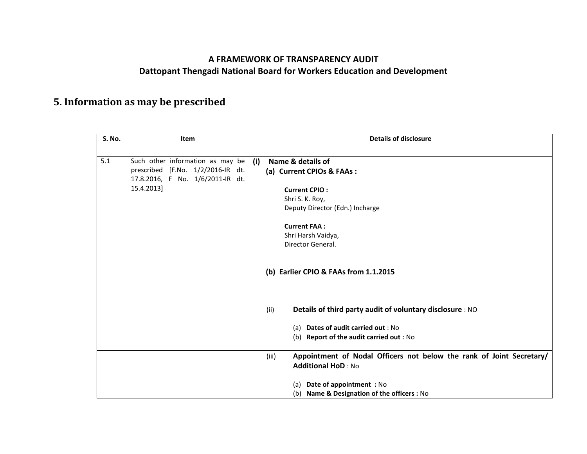## **A FRAMEWORK OF TRANSPARENCY AUDIT Dattopant Thengadi National Board for Workers Education and Development**

## **5. Information as may be prescribed**

| <b>S. No.</b> | <b>Item</b>                       | <b>Details of disclosure</b>                                                  |  |
|---------------|-----------------------------------|-------------------------------------------------------------------------------|--|
|               |                                   |                                                                               |  |
| 5.1           | Such other information as may be  | Name & details of<br>(i)                                                      |  |
|               | prescribed [F.No. 1/2/2016-IR dt. | (a) Current CPIOs & FAAs:                                                     |  |
|               | 17.8.2016, F No. 1/6/2011-IR dt.  |                                                                               |  |
|               | 15.4.2013]                        | <b>Current CPIO:</b>                                                          |  |
|               |                                   | Shri S. K. Roy,                                                               |  |
|               |                                   | Deputy Director (Edn.) Incharge                                               |  |
|               |                                   |                                                                               |  |
|               |                                   | <b>Current FAA:</b>                                                           |  |
|               |                                   | Shri Harsh Vaidya,                                                            |  |
|               |                                   | Director General.                                                             |  |
|               |                                   |                                                                               |  |
|               |                                   | (b) Earlier CPIO & FAAs from 1.1.2015                                         |  |
|               |                                   |                                                                               |  |
|               |                                   |                                                                               |  |
|               |                                   |                                                                               |  |
|               |                                   | Details of third party audit of voluntary disclosure : NO<br>(ii)             |  |
|               |                                   |                                                                               |  |
|               |                                   | (a) Dates of audit carried out : No                                           |  |
|               |                                   | (b) Report of the audit carried out : No                                      |  |
|               |                                   |                                                                               |  |
|               |                                   | Appointment of Nodal Officers not below the rank of Joint Secretary/<br>(iii) |  |
|               |                                   | <b>Additional HoD: No</b>                                                     |  |
|               |                                   |                                                                               |  |
|               |                                   | (a) Date of appointment : No                                                  |  |
|               |                                   | (b) Name & Designation of the officers : No                                   |  |